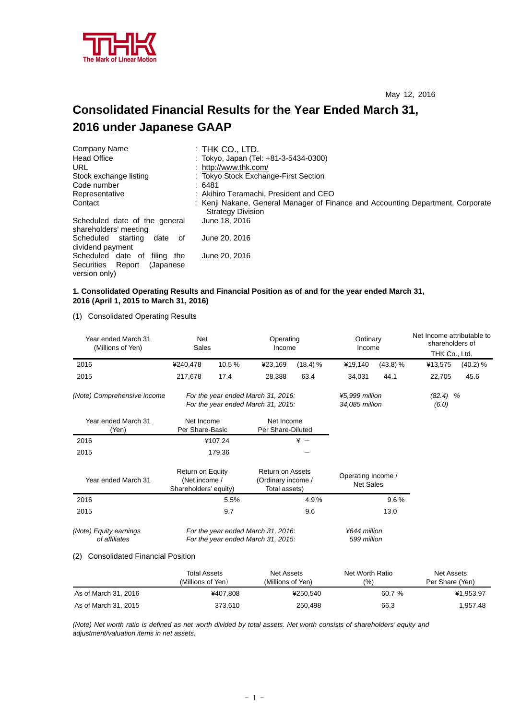

# **Consolidated Financial Results for the Year Ended March 31, 2016 under Japanese GAAP**

| Company Name                                                       | $:$ Thk Co., LTD.                                                                                           |
|--------------------------------------------------------------------|-------------------------------------------------------------------------------------------------------------|
| <b>Head Office</b>                                                 | : Tokyo, Japan (Tel: +81-3-5434-0300)                                                                       |
| URL                                                                | : http://www.thk.com/                                                                                       |
| Stock exchange listing                                             | : Tokyo Stock Exchange-First Section                                                                        |
| Code number                                                        | : 6481                                                                                                      |
| Representative                                                     | : Akihiro Teramachi, President and CEO                                                                      |
| Contact                                                            | : Kenji Nakane, General Manager of Finance and Accounting Department, Corporate<br><b>Strategy Division</b> |
| Scheduled date of the general<br>shareholders' meeting             | June 18, 2016                                                                                               |
| Scheduled<br>starting<br>date of<br>dividend payment               | June 20, 2016                                                                                               |
| Scheduled date of filing the<br>Securities<br>Report<br>(Japanese) | June 20, 2016                                                                                               |
| version only)                                                      |                                                                                                             |

# **1. Consolidated Operating Results and Financial Position as of and for the year ended March 31, 2016 (April 1, 2015 to March 31, 2016)**

(1) Consolidated Operating Results

| Year ended March 31<br>(Millions of Yen)      | Net                                                                      | Sales   |                                                                | Operating<br>Income         | Ordinary<br>Income                                                       |          | Net Income attributable to<br>shareholders of |          |                     |  |
|-----------------------------------------------|--------------------------------------------------------------------------|---------|----------------------------------------------------------------|-----------------------------|--------------------------------------------------------------------------|----------|-----------------------------------------------|----------|---------------------|--|
|                                               |                                                                          |         |                                                                |                             |                                                                          |          | THK Co., Ltd.                                 |          |                     |  |
| 2016                                          | ¥240.478                                                                 | 10.5 %  | ¥23,169                                                        | $(18.4)$ %                  | ¥19,140                                                                  | (43.8) % | ¥13,575                                       | (40.2) % |                     |  |
| 2015                                          | 217,678                                                                  | 17.4    | 28,388                                                         | 63.4                        | 34,031                                                                   | 44.1     | 22,705                                        | 45.6     |                     |  |
| (Note) Comprehensive income                   |                                                                          |         |                                                                |                             | For the year ended March 31, 2016:<br>For the year ended March 31, 2015: |          | ¥5,999 million<br>34,085 million              |          | $(82.4)$ %<br>(6.0) |  |
| Year ended March 31<br>(Yen)                  | Net Income<br>Per Share-Basic                                            |         | Net Income<br>Per Share-Diluted                                |                             |                                                                          |          |                                               |          |                     |  |
| 2016                                          |                                                                          | ¥107.24 |                                                                | $\angle$ +                  |                                                                          |          |                                               |          |                     |  |
| 2015                                          |                                                                          | 179.36  |                                                                |                             |                                                                          |          |                                               |          |                     |  |
| Year ended March 31                           | Return on Equity<br>(Net income /<br>Shareholders' equity)               |         | <b>Return on Assets</b><br>(Ordinary income /<br>Total assets) |                             | Operating Income /<br><b>Net Sales</b>                                   |          |                                               |          |                     |  |
| 2016                                          |                                                                          | 5.5%    |                                                                | 4.9%                        |                                                                          | 9.6%     |                                               |          |                     |  |
| 2015                                          |                                                                          | 9.7     |                                                                | 9.6                         |                                                                          | 13.0     |                                               |          |                     |  |
| (Note) Equity earnings<br>of affiliates       | For the year ended March 31, 2016:<br>For the year ended March 31, 2015: |         |                                                                | ¥644 million<br>599 million |                                                                          |          |                                               |          |                     |  |
| <b>Consolidated Financial Position</b><br>(2) |                                                                          |         |                                                                |                             |                                                                          |          |                                               |          |                     |  |

|                      | <b>Total Assets</b><br>(Millions of Yen) | Net Assets<br>(Millions of Yen) | Net Worth Ratio<br>(9/6) | Net Assets<br>Per Share (Yen) |
|----------------------|------------------------------------------|---------------------------------|--------------------------|-------------------------------|
| As of March 31, 2016 | ¥407.808                                 | ¥250.540                        | 60.7 %                   | ¥1,953.97                     |
| As of March 31, 2015 | 373.610                                  | 250.498                         | 66.3                     | 1.957.48                      |

*(Note) Net worth ratio is defined as net worth divided by total assets. Net worth consists of shareholders' equity and adjustment/valuation items in net assets.*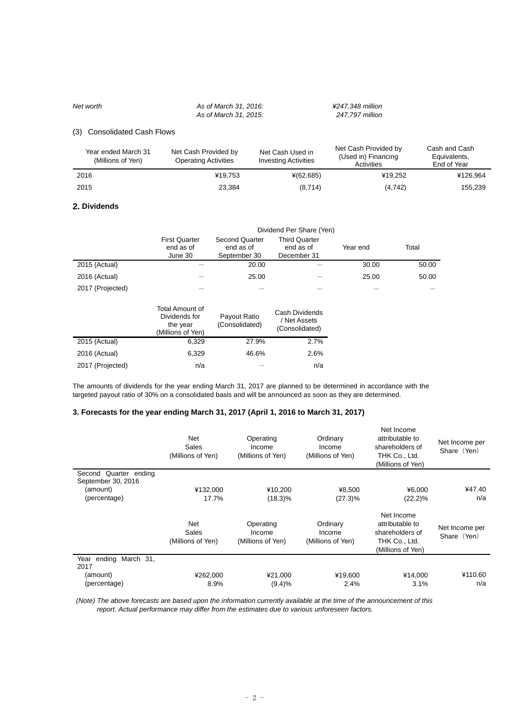# *Net worth As of March 31, 2016: ¥247,348 million*

 *As of March 31, 2015: 247,797 million* 

## (3) Consolidated Cash Flows

| Year ended March 31<br>(Millions of Yen) | Net Cash Provided by<br><b>Operating Activities</b> | Net Cash Used in<br><b>Investing Activities</b> | Net Cash Provided by<br>(Used in) Financing<br>Activities | Cash and Cash<br>Equivalents,<br>End of Year |
|------------------------------------------|-----------------------------------------------------|-------------------------------------------------|-----------------------------------------------------------|----------------------------------------------|
| 2016                                     | ¥19.753                                             | $*(62,685)$                                     | ¥19.252                                                   | ¥126.964                                     |
| 2015                                     | 23.384                                              | (8,714)                                         | (4, 742)                                                  | 155,239                                      |

#### **2. Dividends**

|                  | Dividend Per Share (Yen)                     |                                                    |                                                  |          |       |  |  |
|------------------|----------------------------------------------|----------------------------------------------------|--------------------------------------------------|----------|-------|--|--|
|                  | <b>First Quarter</b><br>end as of<br>June 30 | <b>Second Quarter</b><br>end as of<br>September 30 | <b>Third Quarter</b><br>end as of<br>December 31 | Year end | Total |  |  |
| 2015 (Actual)    |                                              | 20.00                                              |                                                  | 30.00    | 50.00 |  |  |
| 2016 (Actual)    |                                              | 25.00                                              |                                                  | 25.00    | 50.00 |  |  |
| 2017 (Projected) |                                              |                                                    |                                                  |          |       |  |  |

|                  | Total Amount of<br>Dividends for<br>the year<br>(Millions of Yen) | Payout Ratio<br>(Consolidated) | Cash Dividends<br>/ Net Assets<br>(Consolidated) |
|------------------|-------------------------------------------------------------------|--------------------------------|--------------------------------------------------|
| 2015 (Actual)    | 6.329                                                             | 27.9%                          | 2.7%                                             |
| 2016 (Actual)    | 6,329                                                             | 46.6%                          | 2.6%                                             |
| 2017 (Projected) | n/a                                                               |                                | n/a                                              |

The amounts of dividends for the year ending March 31, 2017 are planned to be determined in accordance with the targeted payout ratio of 30% on a consolidated basis and will be announced as soon as they are determined.

# **3. Forecasts for the year ending March 31, 2017 (April 1, 2016 to March 31, 2017)**

|                                             | <b>Net</b><br>Sales<br>(Millions of Yen) | Operating<br>Income<br>(Millions of Yen) | Ordinary<br>Income<br>(Millions of Yen) | Net Income<br>attributable to<br>shareholders of<br>THK Co., Ltd.<br>(Millions of Yen) | Net Income per<br>Share (Yen) |
|---------------------------------------------|------------------------------------------|------------------------------------------|-----------------------------------------|----------------------------------------------------------------------------------------|-------------------------------|
| Second Quarter ending<br>September 30, 2016 |                                          |                                          |                                         |                                                                                        |                               |
| (amount)                                    | ¥132,000                                 | ¥10,200                                  | ¥8,500                                  | ¥6,000                                                                                 | ¥47.40                        |
| (percentage)                                | 17.7%                                    | $(18.3)\%$                               | $(27.3)\%$                              | $(22.2)\%$                                                                             | n/a                           |
|                                             | <b>Net</b><br>Sales<br>(Millions of Yen) | Operating<br>Income<br>(Millions of Yen) | Ordinary<br>Income<br>(Millions of Yen) | Net Income<br>attributable to<br>shareholders of<br>THK Co., Ltd.<br>(Millions of Yen) | Net Income per<br>Share (Yen) |
| Year ending March 31,<br>2017               |                                          |                                          |                                         |                                                                                        |                               |
| (amount)                                    | ¥262,000                                 | ¥21,000                                  | ¥19,600                                 | ¥14,000                                                                                | ¥110.60                       |
| (percentage)                                | 8.9%                                     | (9.4)%                                   | 2.4%                                    | 3.1%                                                                                   | n/a                           |

 *(Note) The above forecasts are based upon the information currently available at the time of the announcement of this report. Actual performance may differ from the estimates due to various unforeseen factors.*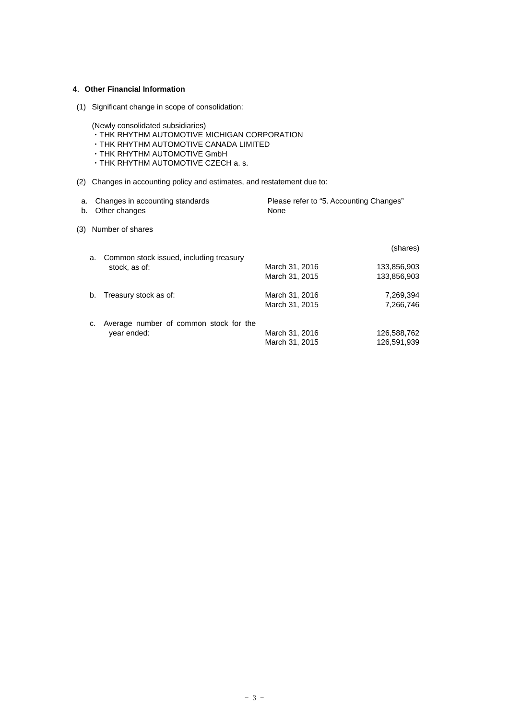# **4**.**Other Financial Information**

(1) Significant change in scope of consolidation:

(Newly consolidated subsidiaries)

- ・THK RHYTHM AUTOMOTIVE MICHIGAN CORPORATION
- ・THK RHYTHM AUTOMOTIVE CANADA LIMITED
- ・THK RHYTHM AUTOMOTIVE GmbH
- ・THK RHYTHM AUTOMOTIVE CZECH a. s.
- (2) Changes in accounting policy and estimates, and restatement due to:

| a.<br>b. |    | Changes in accounting standards<br>Other changes | Please refer to "5. Accounting Changes"<br>None |             |
|----------|----|--------------------------------------------------|-------------------------------------------------|-------------|
| (3)      |    | Number of shares                                 |                                                 |             |
|          | a. | Common stock issued, including treasury          |                                                 | (shares)    |
|          |    | stock, as of:                                    | March 31, 2016                                  | 133,856,903 |
|          |    |                                                  | March 31, 2015                                  | 133,856,903 |
|          | b. | Treasury stock as of:                            | March 31, 2016                                  | 7,269,394   |
|          |    |                                                  | March 31, 2015                                  | 7,266,746   |
|          |    | Average number of common stock for the           |                                                 |             |
|          |    | year ended:                                      | March 31, 2016                                  | 126,588,762 |
|          |    |                                                  | March 31, 2015                                  | 126.591.939 |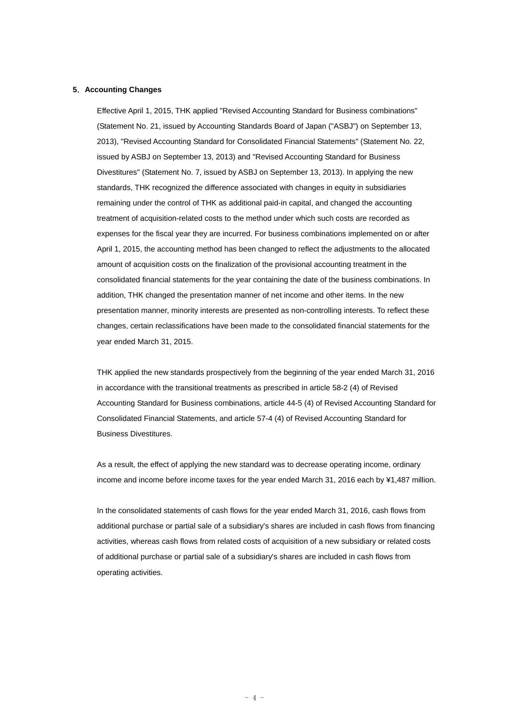#### **5**.**Accounting Changes**

Effective April 1, 2015, THK applied "Revised Accounting Standard for Business combinations" (Statement No. 21, issued by Accounting Standards Board of Japan ("ASBJ") on September 13, 2013), "Revised Accounting Standard for Consolidated Financial Statements" (Statement No. 22, issued by ASBJ on September 13, 2013) and "Revised Accounting Standard for Business Divestitures" (Statement No. 7, issued by ASBJ on September 13, 2013). In applying the new standards, THK recognized the difference associated with changes in equity in subsidiaries remaining under the control of THK as additional paid-in capital, and changed the accounting treatment of acquisition-related costs to the method under which such costs are recorded as expenses for the fiscal year they are incurred. For business combinations implemented on or after April 1, 2015, the accounting method has been changed to reflect the adjustments to the allocated amount of acquisition costs on the finalization of the provisional accounting treatment in the consolidated financial statements for the year containing the date of the business combinations. In addition, THK changed the presentation manner of net income and other items. In the new presentation manner, minority interests are presented as non-controlling interests. To reflect these changes, certain reclassifications have been made to the consolidated financial statements for the year ended March 31, 2015.

THK applied the new standards prospectively from the beginning of the year ended March 31, 2016 in accordance with the transitional treatments as prescribed in article 58-2 (4) of Revised Accounting Standard for Business combinations, article 44-5 (4) of Revised Accounting Standard for Consolidated Financial Statements, and article 57-4 (4) of Revised Accounting Standard for Business Divestitures.

As a result, the effect of applying the new standard was to decrease operating income, ordinary income and income before income taxes for the year ended March 31, 2016 each by ¥1,487 million.

In the consolidated statements of cash flows for the year ended March 31, 2016, cash flows from additional purchase or partial sale of a subsidiary's shares are included in cash flows from financing activities, whereas cash flows from related costs of acquisition of a new subsidiary or related costs of additional purchase or partial sale of a subsidiary's shares are included in cash flows from operating activities.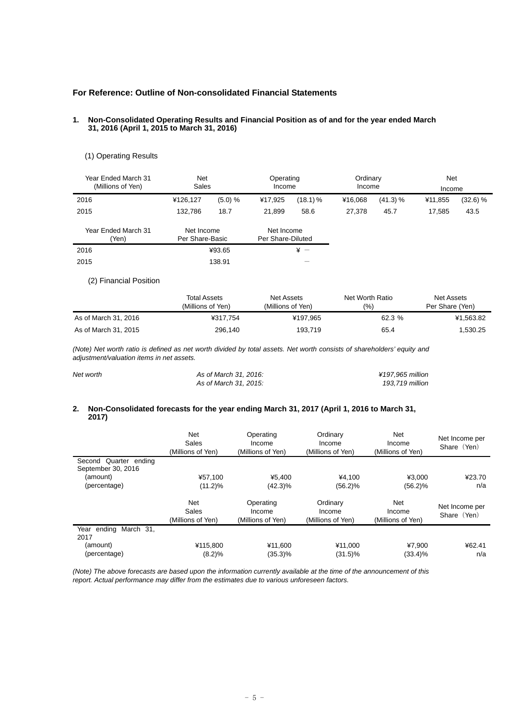# **For Reference: Outline of Non-consolidated Financial Statements**

#### **1. Non-Consolidated Operating Results and Financial Position as of and for the year ended March 31, 2016 (April 1, 2015 to March 31, 2016)**

# (1) Operating Results

| Year Ended March 31<br>(Millions of Yen) | <b>Net</b><br>Sales           |         |                                 | Operating<br>Income |         | Ordinary<br>Income | Net<br>Income |          |
|------------------------------------------|-------------------------------|---------|---------------------------------|---------------------|---------|--------------------|---------------|----------|
| 2016                                     | ¥126,127                      | (5.0) % | ¥17,925                         | $(18.1)$ %          | ¥16.068 | (41.3) %           | ¥11.855       | (32.6) % |
| 2015                                     | 132.786                       | 18.7    | 21.899                          | 58.6                | 27.378  | 45.7               | 17.585        | 43.5     |
| Year Ended March 31<br>Yen)              | Net Income<br>Per Share-Basic |         | Net Income<br>Per Share-Diluted |                     |         |                    |               |          |
| 2016                                     |                               | ¥93.65  |                                 | $* -$               |         |                    |               |          |
| 2015                                     |                               | 138.91  |                                 |                     |         |                    |               |          |

### (2) Financial Position

|                      | <b>Total Assets</b><br>(Millions of Yen) | Net Assets<br>(Millions of Yen) | Net Worth Ratio<br>(9/0) | Net Assets<br>Per Share (Yen) |
|----------------------|------------------------------------------|---------------------------------|--------------------------|-------------------------------|
| As of March 31, 2016 | ¥317.754                                 | ¥197.965                        | 62.3 %                   | ¥1.563.82                     |
| As of March 31, 2015 | 296,140                                  | 193.719                         | 65.4                     | 1,530.25                      |

*(Note) Net worth ratio is defined as net worth divided by total assets. Net worth consists of shareholders' equity and adjustment/valuation items in net assets.* 

| Net worth | As of March 31, 2016: | ¥197.965 million |
|-----------|-----------------------|------------------|
|           | As of March 31, 2015: | 193.719 million  |

### **2. Non-Consolidated forecasts for the year ending March 31, 2017 (April 1, 2016 to March 31, 2017)**

|                                             | <b>Net</b><br>Sales<br>(Millions of Yen) | Operating<br>Income<br>(Millions of Yen) | Ordinary<br>Income<br>(Millions of Yen) | <b>Net</b><br>Income<br>(Millions of Yen) | Net Income per<br>Share (Yen) |
|---------------------------------------------|------------------------------------------|------------------------------------------|-----------------------------------------|-------------------------------------------|-------------------------------|
| Second Quarter ending<br>September 30, 2016 |                                          |                                          |                                         |                                           |                               |
| (amount)                                    | ¥57.100                                  | ¥5.400                                   | ¥4.100                                  | ¥3.000                                    | ¥23.70                        |
| (percentage)                                | $(11.2)\%$                               | $(42.3)\%$                               | $(56.2)\%$                              | (56.2)%                                   | n/a                           |
|                                             | Net<br>Sales<br>(Millions of Yen)        | Operating<br>Income<br>(Millions of Yen) | Ordinary<br>Income<br>(Millions of Yen) | <b>Net</b><br>Income<br>(Millions of Yen) | Net Income per<br>Share (Yen) |
| ending March 31.<br>Year<br>2017            |                                          |                                          |                                         |                                           |                               |
| (amount)                                    | ¥115.800                                 | ¥11.600                                  | ¥11.000                                 | ¥7.900                                    | ¥62.41                        |
| (percentage)                                | (8.2)%                                   | $(35.3)\%$                               | $(31.5)\%$                              | $(33.4)\%$                                | n/a                           |

*(Note) The above forecasts are based upon the information currently available at the time of the announcement of this report. Actual performance may differ from the estimates due to various unforeseen factors.*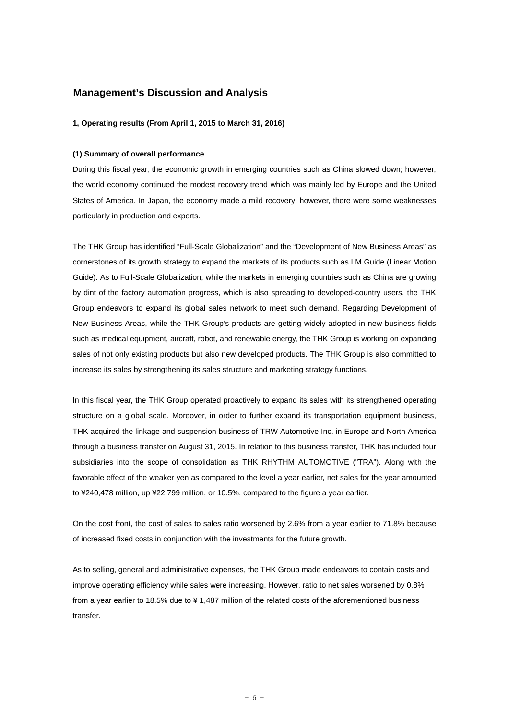# **Management's Discussion and Analysis**

#### **1, Operating results (From April 1, 2015 to March 31, 2016)**

### **(1) Summary of overall performance**

During this fiscal year, the economic growth in emerging countries such as China slowed down; however, the world economy continued the modest recovery trend which was mainly led by Europe and the United States of America. In Japan, the economy made a mild recovery; however, there were some weaknesses particularly in production and exports.

The THK Group has identified "Full-Scale Globalization" and the "Development of New Business Areas" as cornerstones of its growth strategy to expand the markets of its products such as LM Guide (Linear Motion Guide). As to Full-Scale Globalization, while the markets in emerging countries such as China are growing by dint of the factory automation progress, which is also spreading to developed-country users, the THK Group endeavors to expand its global sales network to meet such demand. Regarding Development of New Business Areas, while the THK Group's products are getting widely adopted in new business fields such as medical equipment, aircraft, robot, and renewable energy, the THK Group is working on expanding sales of not only existing products but also new developed products. The THK Group is also committed to increase its sales by strengthening its sales structure and marketing strategy functions.

In this fiscal year, the THK Group operated proactively to expand its sales with its strengthened operating structure on a global scale. Moreover, in order to further expand its transportation equipment business, THK acquired the linkage and suspension business of TRW Automotive Inc. in Europe and North America through a business transfer on August 31, 2015. In relation to this business transfer, THK has included four subsidiaries into the scope of consolidation as THK RHYTHM AUTOMOTIVE ("TRA"). Along with the favorable effect of the weaker yen as compared to the level a year earlier, net sales for the year amounted to ¥240,478 million, up ¥22,799 million, or 10.5%, compared to the figure a year earlier.

On the cost front, the cost of sales to sales ratio worsened by 2.6% from a year earlier to 71.8% because of increased fixed costs in conjunction with the investments for the future growth.

As to selling, general and administrative expenses, the THK Group made endeavors to contain costs and improve operating efficiency while sales were increasing. However, ratio to net sales worsened by 0.8% from a year earlier to 18.5% due to ¥ 1,487 million of the related costs of the aforementioned business transfer.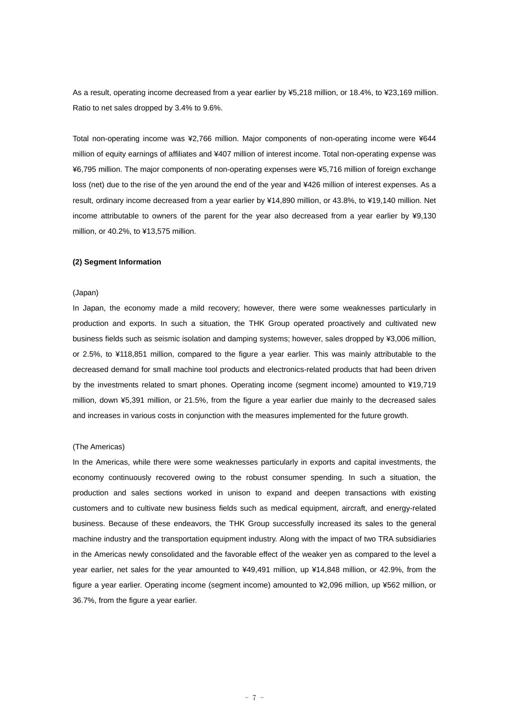As a result, operating income decreased from a year earlier by ¥5,218 million, or 18.4%, to ¥23,169 million. Ratio to net sales dropped by 3.4% to 9.6%.

Total non-operating income was ¥2,766 million. Major components of non-operating income were ¥644 million of equity earnings of affiliates and ¥407 million of interest income. Total non-operating expense was ¥6,795 million. The major components of non-operating expenses were ¥5,716 million of foreign exchange loss (net) due to the rise of the yen around the end of the year and ¥426 million of interest expenses. As a result, ordinary income decreased from a year earlier by ¥14,890 million, or 43.8%, to ¥19,140 million. Net income attributable to owners of the parent for the year also decreased from a year earlier by ¥9,130 million, or 40.2%, to ¥13,575 million.

#### **(2) Segment Information**

#### (Japan)

In Japan, the economy made a mild recovery; however, there were some weaknesses particularly in production and exports. In such a situation, the THK Group operated proactively and cultivated new business fields such as seismic isolation and damping systems; however, sales dropped by ¥3,006 million, or 2.5%, to ¥118,851 million, compared to the figure a year earlier. This was mainly attributable to the decreased demand for small machine tool products and electronics-related products that had been driven by the investments related to smart phones. Operating income (segment income) amounted to ¥19,719 million, down ¥5,391 million, or 21.5%, from the figure a year earlier due mainly to the decreased sales and increases in various costs in conjunction with the measures implemented for the future growth.

#### (The Americas)

In the Americas, while there were some weaknesses particularly in exports and capital investments, the economy continuously recovered owing to the robust consumer spending. In such a situation, the production and sales sections worked in unison to expand and deepen transactions with existing customers and to cultivate new business fields such as medical equipment, aircraft, and energy-related business. Because of these endeavors, the THK Group successfully increased its sales to the general machine industry and the transportation equipment industry. Along with the impact of two TRA subsidiaries in the Americas newly consolidated and the favorable effect of the weaker yen as compared to the level a year earlier, net sales for the year amounted to ¥49,491 million, up ¥14,848 million, or 42.9%, from the figure a year earlier. Operating income (segment income) amounted to ¥2,096 million, up ¥562 million, or 36.7%, from the figure a year earlier.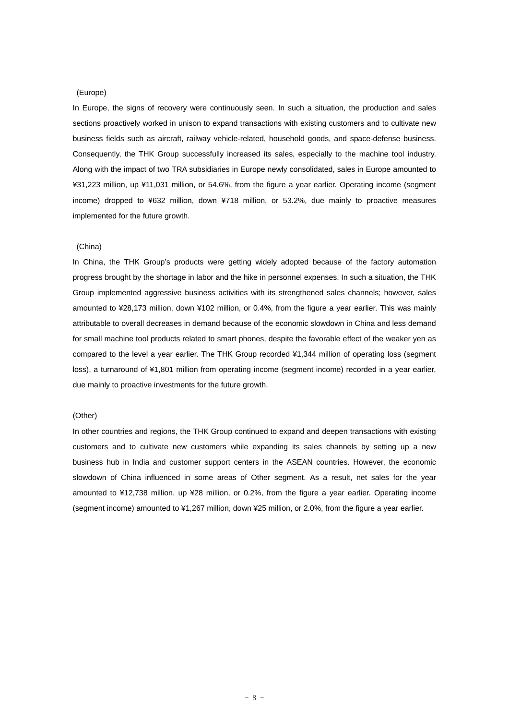#### (Europe)

In Europe, the signs of recovery were continuously seen. In such a situation, the production and sales sections proactively worked in unison to expand transactions with existing customers and to cultivate new business fields such as aircraft, railway vehicle-related, household goods, and space-defense business. Consequently, the THK Group successfully increased its sales, especially to the machine tool industry. Along with the impact of two TRA subsidiaries in Europe newly consolidated, sales in Europe amounted to ¥31,223 million, up ¥11,031 million, or 54.6%, from the figure a year earlier. Operating income (segment income) dropped to ¥632 million, down ¥718 million, or 53.2%, due mainly to proactive measures implemented for the future growth.

#### (China)

In China, the THK Group's products were getting widely adopted because of the factory automation progress brought by the shortage in labor and the hike in personnel expenses. In such a situation, the THK Group implemented aggressive business activities with its strengthened sales channels; however, sales amounted to ¥28,173 million, down ¥102 million, or 0.4%, from the figure a year earlier. This was mainly attributable to overall decreases in demand because of the economic slowdown in China and less demand for small machine tool products related to smart phones, despite the favorable effect of the weaker yen as compared to the level a year earlier. The THK Group recorded ¥1,344 million of operating loss (segment loss), a turnaround of ¥1,801 million from operating income (segment income) recorded in a year earlier, due mainly to proactive investments for the future growth.

# (Other)

In other countries and regions, the THK Group continued to expand and deepen transactions with existing customers and to cultivate new customers while expanding its sales channels by setting up a new business hub in India and customer support centers in the ASEAN countries. However, the economic slowdown of China influenced in some areas of Other segment. As a result, net sales for the year amounted to ¥12,738 million, up ¥28 million, or 0.2%, from the figure a year earlier. Operating income (segment income) amounted to ¥1,267 million, down ¥25 million, or 2.0%, from the figure a year earlier.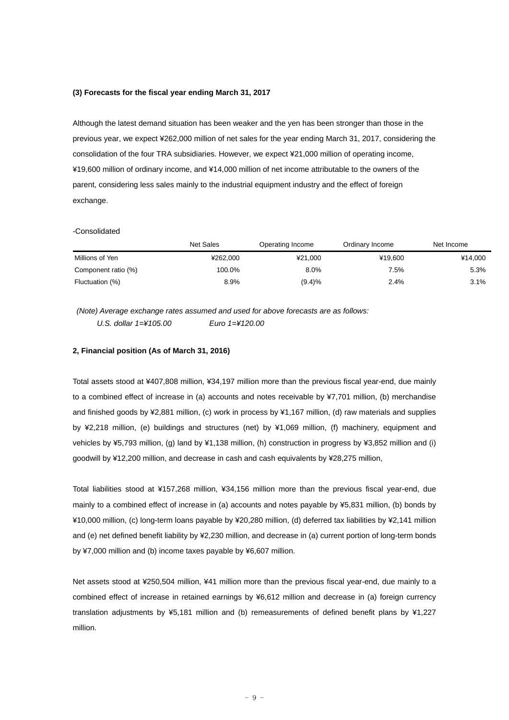#### **(3) Forecasts for the fiscal year ending March 31, 2017**

Although the latest demand situation has been weaker and the yen has been stronger than those in the previous year, we expect ¥262,000 million of net sales for the year ending March 31, 2017, considering the consolidation of the four TRA subsidiaries. However, we expect ¥21,000 million of operating income, ¥19,600 million of ordinary income, and ¥14,000 million of net income attributable to the owners of the parent, considering less sales mainly to the industrial equipment industry and the effect of foreign exchange.

#### -Consolidated

|                     | Net Sales | Operating Income | Ordinary Income | Net Income |
|---------------------|-----------|------------------|-----------------|------------|
| Millions of Yen     | ¥262.000  | ¥21.000          | ¥19.600         | ¥14.000    |
| Component ratio (%) | 100.0%    | 8.0%             | 7.5%            | 5.3%       |
| Fluctuation (%)     | 8.9%      | (9.4)%           | 2.4%            | 3.1%       |

 *(Note) Average exchange rates assumed and used for above forecasts are as follows: U.S. dollar 1=¥105.00 Euro 1=¥120.00* 

## **2, Financial position (As of March 31, 2016)**

Total assets stood at ¥407,808 million, ¥34,197 million more than the previous fiscal year-end, due mainly to a combined effect of increase in (a) accounts and notes receivable by ¥7,701 million, (b) merchandise and finished goods by ¥2,881 million, (c) work in process by ¥1,167 million, (d) raw materials and supplies by ¥2,218 million, (e) buildings and structures (net) by ¥1,069 million, (f) machinery, equipment and vehicles by ¥5,793 million, (g) land by ¥1,138 million, (h) construction in progress by ¥3,852 million and (i) goodwill by ¥12,200 million, and decrease in cash and cash equivalents by ¥28,275 million,

Total liabilities stood at ¥157,268 million, ¥34,156 million more than the previous fiscal year-end, due mainly to a combined effect of increase in (a) accounts and notes payable by ¥5,831 million, (b) bonds by ¥10,000 million, (c) long-term loans payable by ¥20,280 million, (d) deferred tax liabilities by ¥2,141 million and (e) net defined benefit liability by ¥2,230 million, and decrease in (a) current portion of long-term bonds by ¥7,000 million and (b) income taxes payable by ¥6,607 million.

Net assets stood at ¥250,504 million, ¥41 million more than the previous fiscal year-end, due mainly to a combined effect of increase in retained earnings by ¥6,612 million and decrease in (a) foreign currency translation adjustments by ¥5,181 million and (b) remeasurements of defined benefit plans by ¥1,227 million.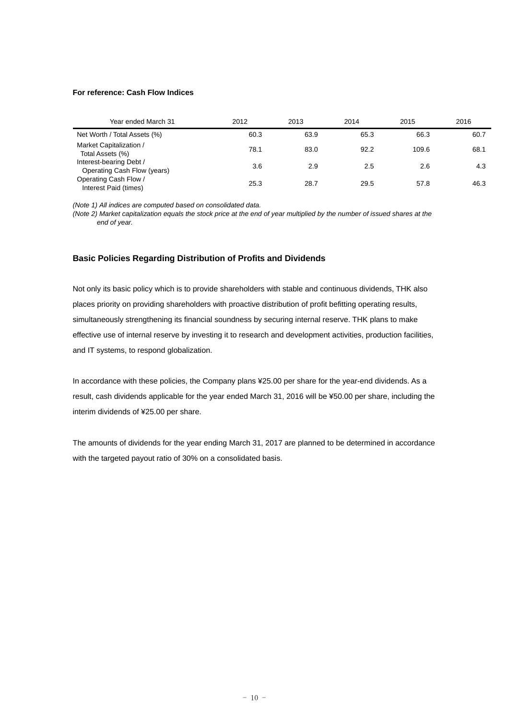### **For reference: Cash Flow Indices**

| Year ended March 31                                    | 2012 | 2013 | 2014 | 2015  | 2016 |
|--------------------------------------------------------|------|------|------|-------|------|
| Net Worth / Total Assets (%)                           | 60.3 | 63.9 | 65.3 | 66.3  | 60.7 |
| Market Capitalization /<br>Total Assets (%)            | 78.1 | 83.0 | 92.2 | 109.6 | 68.1 |
| Interest-bearing Debt /<br>Operating Cash Flow (years) | 3.6  | 2.9  | 2.5  | 2.6   | 4.3  |
| Operating Cash Flow /<br>Interest Paid (times)         | 25.3 | 28.7 | 29.5 | 57.8  | 46.3 |

*(Note 1) All indices are computed based on consolidated data.* 

*(Note 2) Market capitalization equals the stock price at the end of year multiplied by the number of issued shares at the end of year.* 

# **Basic Policies Regarding Distribution of Profits and Dividends**

Not only its basic policy which is to provide shareholders with stable and continuous dividends, THK also places priority on providing shareholders with proactive distribution of profit befitting operating results, simultaneously strengthening its financial soundness by securing internal reserve. THK plans to make effective use of internal reserve by investing it to research and development activities, production facilities, and IT systems, to respond globalization.

In accordance with these policies, the Company plans ¥25.00 per share for the year-end dividends. As a result, cash dividends applicable for the year ended March 31, 2016 will be ¥50.00 per share, including the interim dividends of ¥25.00 per share.

The amounts of dividends for the year ending March 31, 2017 are planned to be determined in accordance with the targeted payout ratio of 30% on a consolidated basis.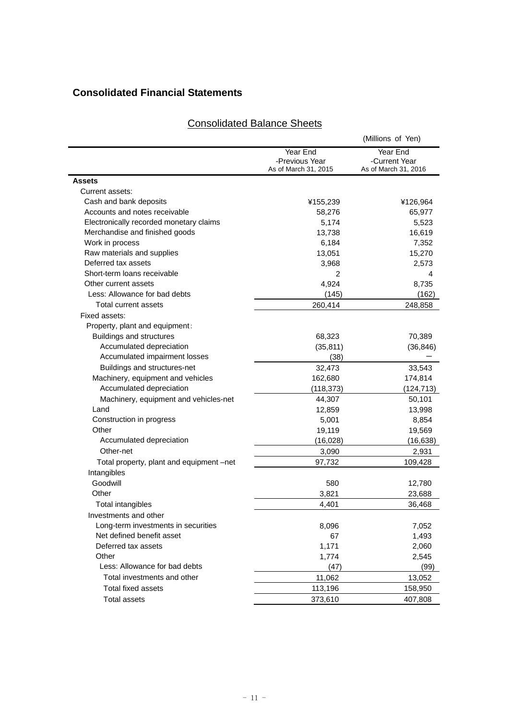# **Consolidated Financial Statements**

# Consolidated Balance Sheets

|                                          |                      | (Millions of Yen)    |
|------------------------------------------|----------------------|----------------------|
|                                          | Year End             | Year End             |
|                                          | -Previous Year       | -Current Year        |
|                                          | As of March 31, 2015 | As of March 31, 2016 |
| <b>Assets</b>                            |                      |                      |
| Current assets:                          |                      |                      |
| Cash and bank deposits                   | ¥155,239             | ¥126,964             |
| Accounts and notes receivable            | 58,276               | 65,977               |
| Electronically recorded monetary claims  | 5,174                | 5,523                |
| Merchandise and finished goods           | 13,738               | 16,619               |
| Work in process                          | 6,184                | 7,352                |
| Raw materials and supplies               | 13,051               | 15,270               |
| Deferred tax assets                      | 3,968                | 2,573                |
| Short-term loans receivable              | 2                    | 4                    |
| Other current assets                     | 4,924                | 8,735                |
| Less: Allowance for bad debts            | (145)                | (162)                |
| Total current assets                     | 260,414              | 248,858              |
| Fixed assets:                            |                      |                      |
| Property, plant and equipment:           |                      |                      |
| Buildings and structures                 | 68,323               | 70,389               |
| Accumulated depreciation                 | (35, 811)            | (36, 846)            |
| Accumulated impairment losses            | (38)                 |                      |
| Buildings and structures-net             | 32,473               | 33,543               |
| Machinery, equipment and vehicles        | 162,680              | 174,814              |
| Accumulated depreciation                 | (118, 373)           | (124, 713)           |
| Machinery, equipment and vehicles-net    | 44,307               | 50,101               |
| Land                                     | 12,859               | 13,998               |
| Construction in progress                 | 5,001                | 8,854                |
| Other                                    | 19,119               | 19,569               |
| Accumulated depreciation                 | (16, 028)            | (16, 638)            |
| Other-net                                | 3,090                | 2,931                |
| Total property, plant and equipment –net | 97,732               | 109,428              |
| Intangibles                              |                      |                      |
| Goodwill                                 | 580                  | 12,780               |
| Other                                    | 3,821                | 23,688               |
| Total intangibles                        | 4,401                | 36,468               |
| Investments and other                    |                      |                      |
| Long-term investments in securities      | 8,096                | 7,052                |
| Net defined benefit asset                | 67                   | 1,493                |
| Deferred tax assets                      | 1,171                | 2,060                |
| Other                                    | 1,774                | 2,545                |
| Less: Allowance for bad debts            | (47)                 | (99)                 |
| Total investments and other              | 11,062               | 13,052               |
| Total fixed assets                       | 113,196              | 158,950              |
| <b>Total assets</b>                      | 373,610              | 407,808              |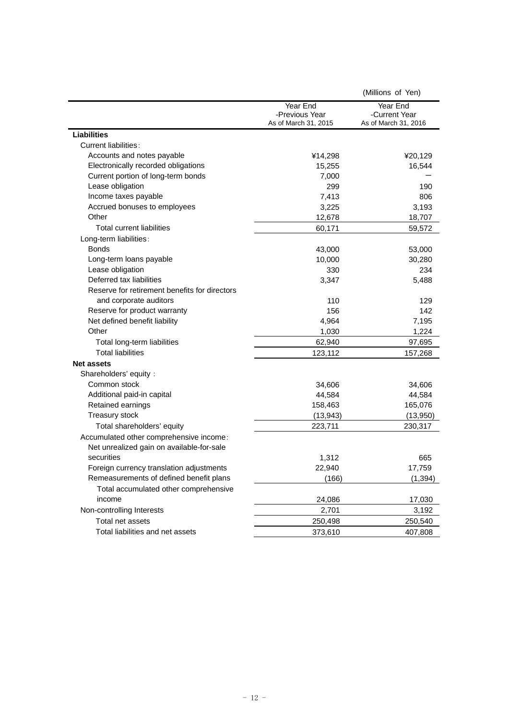|                                               |                      | (Millions of Yen)    |
|-----------------------------------------------|----------------------|----------------------|
|                                               | Year End             | Year End             |
|                                               | -Previous Year       | -Current Year        |
|                                               | As of March 31, 2015 | As of March 31, 2016 |
| <b>Liabilities</b>                            |                      |                      |
| <b>Current liabilities:</b>                   |                      |                      |
| Accounts and notes payable                    | ¥14,298              | ¥20,129              |
| Electronically recorded obligations           | 15,255               | 16,544               |
| Current portion of long-term bonds            | 7,000                |                      |
| Lease obligation                              | 299                  | 190                  |
| Income taxes payable                          | 7,413                | 806                  |
| Accrued bonuses to employees                  | 3,225                | 3,193                |
| Other                                         | 12,678               | 18,707               |
| <b>Total current liabilities</b>              | 60,171               | 59,572               |
| Long-term liabilities:                        |                      |                      |
| <b>Bonds</b>                                  | 43,000               | 53,000               |
| Long-term loans payable                       | 10,000               | 30,280               |
| Lease obligation                              | 330                  | 234                  |
| Deferred tax liabilities                      | 3,347                | 5,488                |
| Reserve for retirement benefits for directors |                      |                      |
| and corporate auditors                        | 110                  | 129                  |
| Reserve for product warranty                  | 156                  | 142                  |
| Net defined benefit liability                 | 4,964                | 7,195                |
| Other                                         | 1,030                | 1,224                |
| Total long-term liabilities                   | 62,940               | 97,695               |
| <b>Total liabilities</b>                      | 123,112              | 157,268              |
| <b>Net assets</b>                             |                      |                      |
| Shareholders' equity :                        |                      |                      |
| Common stock                                  | 34,606               | 34,606               |
| Additional paid-in capital                    | 44,584               | 44,584               |
| Retained earnings                             | 158,463              | 165,076              |
| Treasury stock                                | (13, 943)            | (13,950)             |
| Total shareholders' equity                    | 223,711              | 230,317              |
| Accumulated other comprehensive income:       |                      |                      |
| Net unrealized gain on available-for-sale     |                      |                      |
| securities                                    | 1,312                | 665                  |
| Foreign currency translation adjustments      | 22,940               | 17,759               |
| Remeasurements of defined benefit plans       | (166)                | (1, 394)             |
| Total accumulated other comprehensive         |                      |                      |
| income                                        | 24,086               | 17,030               |
| Non-controlling Interests                     | 2,701                | 3,192                |
| Total net assets                              | 250,498              | 250,540              |
| Total liabilities and net assets              | 373,610              | 407,808              |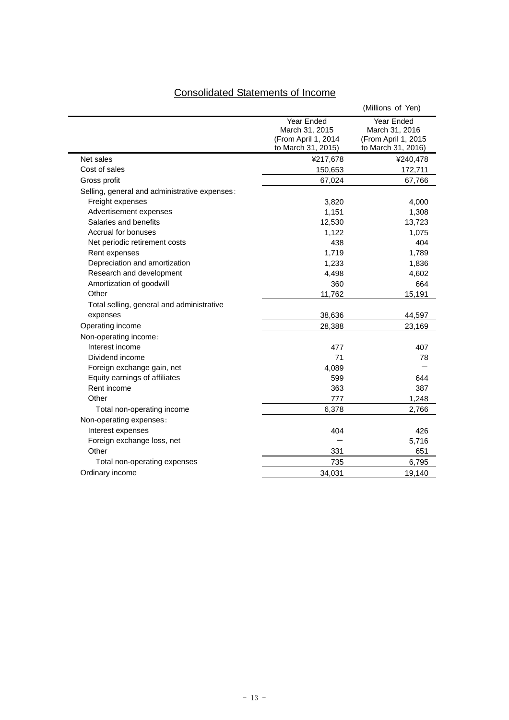| <b>Consolidated Statements of Income</b> |  |  |
|------------------------------------------|--|--|
|                                          |  |  |

|                                               |                                                                           | (Millions of Yen)                                                         |
|-----------------------------------------------|---------------------------------------------------------------------------|---------------------------------------------------------------------------|
|                                               | Year Ended<br>March 31, 2015<br>(From April 1, 2014<br>to March 31, 2015) | Year Ended<br>March 31, 2016<br>(From April 1, 2015<br>to March 31, 2016) |
| Net sales                                     | ¥217,678                                                                  | ¥240,478                                                                  |
| Cost of sales                                 | 150,653                                                                   | 172,711                                                                   |
| Gross profit                                  | 67,024                                                                    | 67,766                                                                    |
| Selling, general and administrative expenses: |                                                                           |                                                                           |
| Freight expenses                              | 3,820                                                                     | 4,000                                                                     |
| Advertisement expenses                        | 1,151                                                                     | 1,308                                                                     |
| Salaries and benefits                         | 12,530                                                                    | 13,723                                                                    |
| Accrual for bonuses                           | 1,122                                                                     | 1,075                                                                     |
| Net periodic retirement costs                 | 438                                                                       | 404                                                                       |
| Rent expenses                                 | 1,719                                                                     | 1,789                                                                     |
| Depreciation and amortization                 | 1,233                                                                     | 1,836                                                                     |
| Research and development                      | 4,498                                                                     | 4,602                                                                     |
| Amortization of goodwill                      | 360                                                                       | 664                                                                       |
| Other                                         | 11,762                                                                    | 15,191                                                                    |
| Total selling, general and administrative     |                                                                           |                                                                           |
| expenses                                      | 38,636                                                                    | 44,597                                                                    |
| Operating income                              | 28,388                                                                    | 23,169                                                                    |
| Non-operating income:                         |                                                                           |                                                                           |
| Interest income                               | 477                                                                       | 407                                                                       |
| Dividend income                               | 71                                                                        | 78                                                                        |
| Foreign exchange gain, net                    | 4,089                                                                     |                                                                           |
| Equity earnings of affiliates                 | 599                                                                       | 644                                                                       |
| Rent income                                   | 363                                                                       | 387                                                                       |
| Other                                         | 777                                                                       | 1,248                                                                     |
| Total non-operating income                    | 6,378                                                                     | 2,766                                                                     |
| Non-operating expenses:                       |                                                                           |                                                                           |
| Interest expenses                             | 404                                                                       | 426                                                                       |
| Foreign exchange loss, net                    |                                                                           | 5,716                                                                     |
| Other                                         | 331                                                                       | 651                                                                       |
| Total non-operating expenses                  | 735                                                                       | 6,795                                                                     |
| Ordinary income                               | 34,031                                                                    | 19,140                                                                    |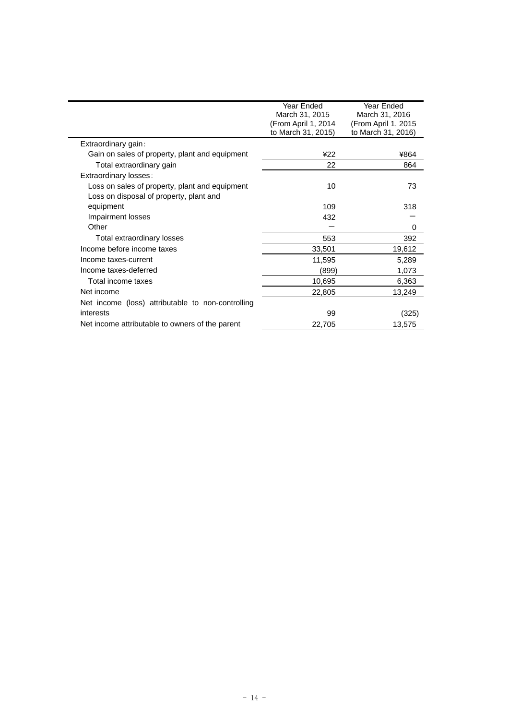|                                                   | Year Ended<br>March 31, 2015<br>(From April 1, 2014<br>to March 31, 2015) | Year Ended<br>March 31, 2016<br>(From April 1, 2015<br>to March 31, 2016) |
|---------------------------------------------------|---------------------------------------------------------------------------|---------------------------------------------------------------------------|
| Extraordinary gain:                               |                                                                           |                                                                           |
| Gain on sales of property, plant and equipment    | 422                                                                       | ¥864                                                                      |
| Total extraordinary gain                          | 22                                                                        | 864                                                                       |
| Extraordinary losses:                             |                                                                           |                                                                           |
| Loss on sales of property, plant and equipment    | 10                                                                        | 73                                                                        |
| Loss on disposal of property, plant and           |                                                                           |                                                                           |
| equipment                                         | 109                                                                       | 318                                                                       |
| Impairment losses                                 | 432                                                                       |                                                                           |
| Other                                             |                                                                           | 0                                                                         |
| Total extraordinary losses                        | 553                                                                       | 392                                                                       |
| Income before income taxes                        | 33,501                                                                    | 19,612                                                                    |
| Income taxes-current                              | 11,595                                                                    | 5,289                                                                     |
| Income taxes-deferred                             | (899)                                                                     | 1,073                                                                     |
| Total income taxes                                | 10,695                                                                    | 6,363                                                                     |
| Net income                                        | 22,805                                                                    | 13,249                                                                    |
| Net income (loss) attributable to non-controlling |                                                                           |                                                                           |
| interests                                         | 99                                                                        | (325)                                                                     |
| Net income attributable to owners of the parent   | 22,705                                                                    | 13,575                                                                    |
|                                                   |                                                                           |                                                                           |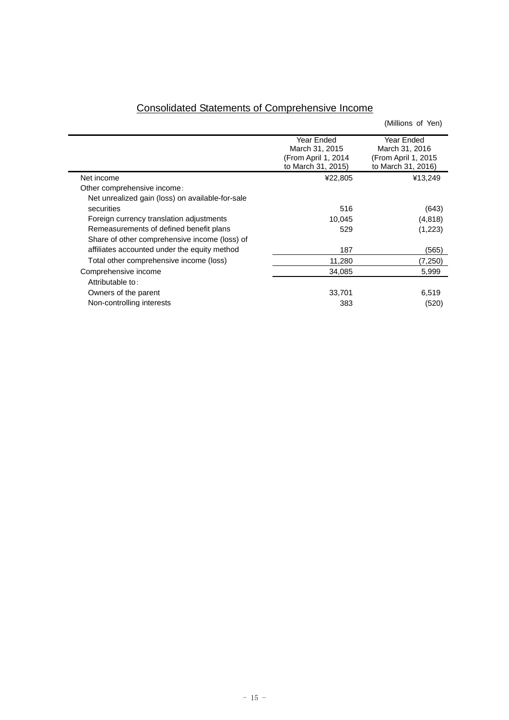| <b>Consolidated Statements of Comprehensive Income</b> |
|--------------------------------------------------------|
|--------------------------------------------------------|

Ē.

|                                                  |                      | (Millions of Yen)    |
|--------------------------------------------------|----------------------|----------------------|
|                                                  | Year Ended           | Year Ended           |
|                                                  | March 31, 2015       | March 31, 2016       |
|                                                  | (From April 1, 2014) | (From April 1, 2015) |
|                                                  | to March 31, 2015)   | to March 31, 2016)   |
| Net income                                       | ¥22,805              | ¥13,249              |
| Other comprehensive income:                      |                      |                      |
| Net unrealized gain (loss) on available-for-sale |                      |                      |
| securities                                       | 516                  | (643)                |
| Foreign currency translation adjustments         | 10,045               | (4,818)              |
| Remeasurements of defined benefit plans          | 529                  | (1,223)              |
| Share of other comprehensive income (loss) of    |                      |                      |
| affiliates accounted under the equity method     | 187                  | (565)                |
| Total other comprehensive income (loss)          | 11,280               | (7,250)              |
| Comprehensive income                             | 34,085               | 5,999                |
| Attributable to:                                 |                      |                      |
| Owners of the parent                             | 33,701               | 6,519                |
| Non-controlling interests                        | 383                  | (520)                |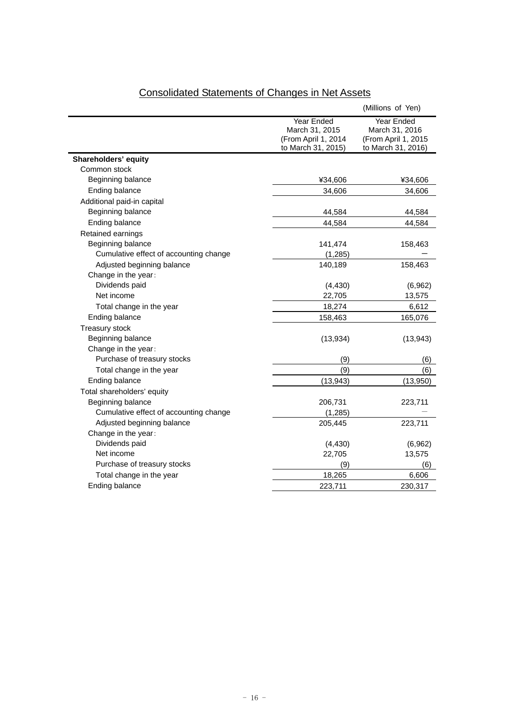|                                        |                                                                           | (Millions of Yen)                                                         |
|----------------------------------------|---------------------------------------------------------------------------|---------------------------------------------------------------------------|
|                                        | Year Ended<br>March 31, 2015<br>(From April 1, 2014<br>to March 31, 2015) | Year Ended<br>March 31, 2016<br>(From April 1, 2015<br>to March 31, 2016) |
| Shareholders' equity                   |                                                                           |                                                                           |
| Common stock                           |                                                                           |                                                                           |
| Beginning balance                      | ¥34,606                                                                   | ¥34,606                                                                   |
| Ending balance                         | 34,606                                                                    | 34,606                                                                    |
| Additional paid-in capital             |                                                                           |                                                                           |
| Beginning balance                      | 44,584                                                                    | 44,584                                                                    |
| Ending balance                         | 44,584                                                                    | 44,584                                                                    |
| Retained earnings                      |                                                                           |                                                                           |
| Beginning balance                      | 141,474                                                                   | 158,463                                                                   |
| Cumulative effect of accounting change | (1, 285)                                                                  |                                                                           |
| Adjusted beginning balance             | 140,189                                                                   | 158,463                                                                   |
| Change in the year:                    |                                                                           |                                                                           |
| Dividends paid                         | (4, 430)                                                                  | (6,962)                                                                   |
| Net income                             | 22,705                                                                    | 13,575                                                                    |
| Total change in the year               | 18,274                                                                    | 6,612                                                                     |
| Ending balance                         | 158,463                                                                   | 165,076                                                                   |
| <b>Treasury stock</b>                  |                                                                           |                                                                           |
| Beginning balance                      | (13, 934)                                                                 | (13, 943)                                                                 |
| Change in the year:                    |                                                                           |                                                                           |
| Purchase of treasury stocks            | (9)                                                                       | (6)                                                                       |
| Total change in the year               | (9)                                                                       | (6)                                                                       |
| Ending balance                         | (13, 943)                                                                 | (13,950)                                                                  |
| Total shareholders' equity             |                                                                           |                                                                           |
| Beginning balance                      | 206,731                                                                   | 223,711                                                                   |
| Cumulative effect of accounting change | (1, 285)                                                                  |                                                                           |
| Adjusted beginning balance             | 205,445                                                                   | 223,711                                                                   |
| Change in the year:                    |                                                                           |                                                                           |
| Dividends paid                         | (4, 430)                                                                  | (6,962)                                                                   |
| Net income                             | 22,705                                                                    | 13,575                                                                    |
| Purchase of treasury stocks            | (9)                                                                       | (6)                                                                       |
| Total change in the year               | 18,265                                                                    | 6,606                                                                     |
| Ending balance                         | 223,711                                                                   | 230,317                                                                   |

# Consolidated Statements of Changes in Net Assets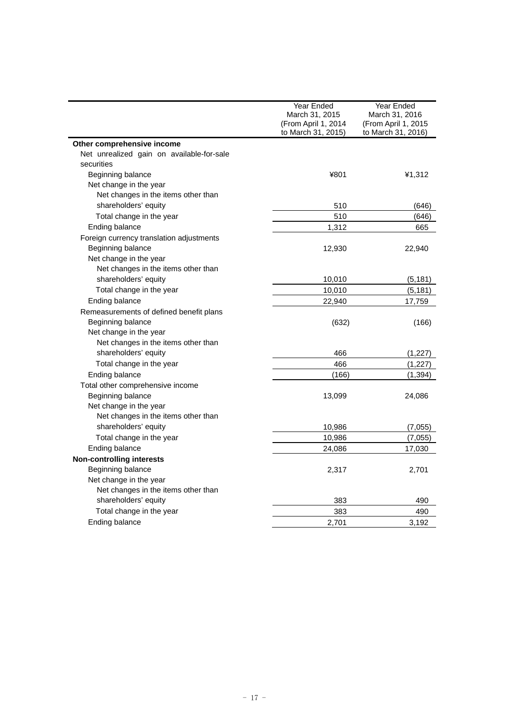|                                           | Year Ended          | Year Ended          |
|-------------------------------------------|---------------------|---------------------|
|                                           | March 31, 2015      | March 31, 2016      |
|                                           | (From April 1, 2014 | (From April 1, 2015 |
|                                           | to March 31, 2015)  | to March 31, 2016)  |
| Other comprehensive income                |                     |                     |
| Net unrealized gain on available-for-sale |                     |                     |
| securities                                |                     |                     |
| Beginning balance                         | ¥801                | ¥1,312              |
| Net change in the year                    |                     |                     |
| Net changes in the items other than       |                     |                     |
| shareholders' equity                      | 510                 | (646)               |
| Total change in the year                  | 510                 | (646)               |
| Ending balance                            | 1,312               | 665                 |
| Foreign currency translation adjustments  |                     |                     |
| Beginning balance                         | 12,930              | 22,940              |
| Net change in the year                    |                     |                     |
| Net changes in the items other than       |                     |                     |
| shareholders' equity                      | 10,010              | (5, 181)            |
| Total change in the year                  | 10,010              | (5, 181)            |
| Ending balance                            | 22,940              | 17,759              |
| Remeasurements of defined benefit plans   |                     |                     |
| Beginning balance                         | (632)               | (166)               |
| Net change in the year                    |                     |                     |
| Net changes in the items other than       |                     |                     |
| shareholders' equity                      | 466                 | (1, 227)            |
| Total change in the year                  | 466                 | (1, 227)            |
| Ending balance                            | (166)               | (1, 394)            |
| Total other comprehensive income          |                     |                     |
| Beginning balance                         | 13,099              | 24,086              |
| Net change in the year                    |                     |                     |
| Net changes in the items other than       |                     |                     |
| shareholders' equity                      | 10,986              | (7,055)             |
| Total change in the year                  | 10,986              | (7,055)             |
| Ending balance                            | 24,086              | 17,030              |
| <b>Non-controlling interests</b>          |                     |                     |
| Beginning balance                         | 2,317               | 2,701               |
| Net change in the year                    |                     |                     |
| Net changes in the items other than       |                     |                     |
| shareholders' equity                      | 383                 | 490                 |
| Total change in the year                  | 383                 | 490                 |
| Ending balance                            | 2,701               | 3,192               |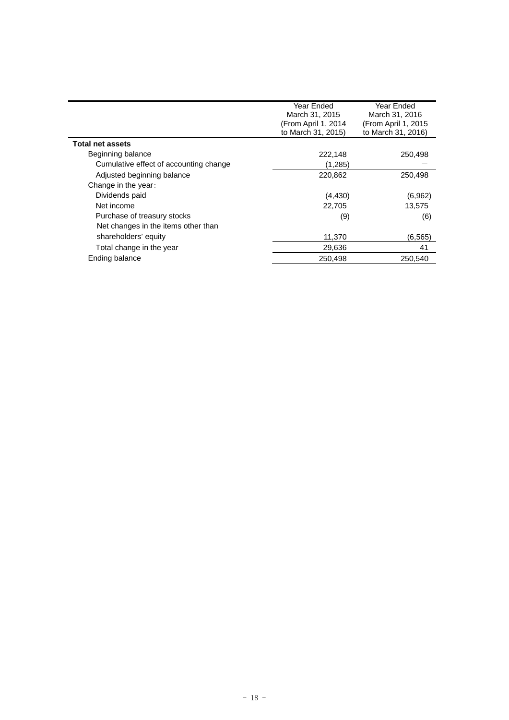|                                        | Year Ended<br>March 31, 2015 | Year Ended<br>March 31, 2016 |
|----------------------------------------|------------------------------|------------------------------|
|                                        | (From April 1, 2014          | (From April 1, 2015)         |
|                                        | to March 31, 2015)           | to March 31, 2016)           |
| <b>Total net assets</b>                |                              |                              |
| Beginning balance                      | 222,148                      | 250,498                      |
| Cumulative effect of accounting change | (1,285)                      |                              |
| Adjusted beginning balance             | 220,862                      | 250,498                      |
| Change in the year:                    |                              |                              |
| Dividends paid                         | (4, 430)                     | (6,962)                      |
| Net income                             | 22.705                       | 13.575                       |
| Purchase of treasury stocks            | (9)                          | (6)                          |
| Net changes in the items other than    |                              |                              |
| shareholders' equity                   | 11,370                       | (6, 565)                     |
| Total change in the year               | 29,636                       | 41                           |
| Ending balance                         | 250,498                      | 250,540                      |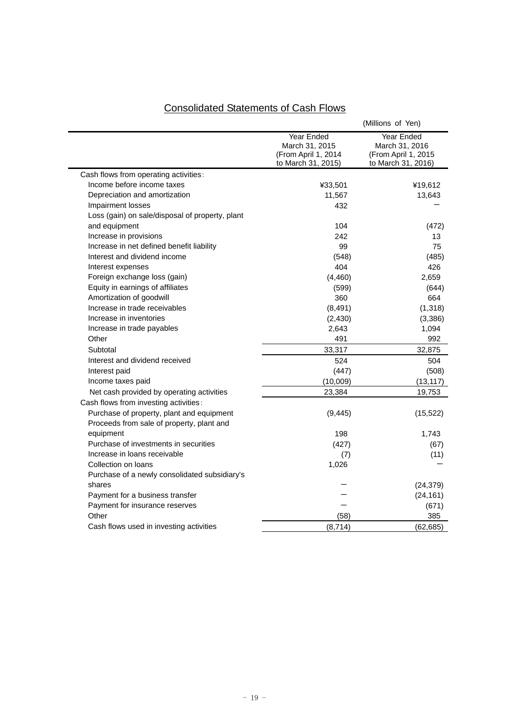|                                                 |                                                                           | (Millions of Yen)                                                         |
|-------------------------------------------------|---------------------------------------------------------------------------|---------------------------------------------------------------------------|
|                                                 | Year Ended<br>March 31, 2015<br>(From April 1, 2014<br>to March 31, 2015) | Year Ended<br>March 31, 2016<br>(From April 1, 2015<br>to March 31, 2016) |
| Cash flows from operating activities:           |                                                                           |                                                                           |
| Income before income taxes                      | ¥33,501                                                                   | ¥19,612                                                                   |
| Depreciation and amortization                   | 11,567                                                                    | 13,643                                                                    |
| Impairment losses                               | 432                                                                       |                                                                           |
| Loss (gain) on sale/disposal of property, plant |                                                                           |                                                                           |
| and equipment                                   | 104                                                                       | (472)                                                                     |
| Increase in provisions                          | 242                                                                       | 13                                                                        |
| Increase in net defined benefit liability       | 99                                                                        | 75                                                                        |
| Interest and dividend income                    | (548)                                                                     | (485)                                                                     |
| Interest expenses                               | 404                                                                       | 426                                                                       |
| Foreign exchange loss (gain)                    | (4,460)                                                                   | 2,659                                                                     |
| Equity in earnings of affiliates                | (599)                                                                     | (644)                                                                     |
| Amortization of goodwill                        | 360                                                                       | 664                                                                       |
| Increase in trade receivables                   | (8, 491)                                                                  | (1, 318)                                                                  |
| Increase in inventories                         | (2, 430)                                                                  | (3,386)                                                                   |
| Increase in trade payables                      | 2,643                                                                     | 1,094                                                                     |
| Other                                           | 491                                                                       | 992                                                                       |
| Subtotal                                        | 33,317                                                                    | 32,875                                                                    |
| Interest and dividend received                  | 524                                                                       | 504                                                                       |
| Interest paid                                   | (447)                                                                     | (508)                                                                     |
| Income taxes paid                               | (10,009)                                                                  | (13, 117)                                                                 |
| Net cash provided by operating activities       | 23,384                                                                    | 19,753                                                                    |
| Cash flows from investing activities:           |                                                                           |                                                                           |
| Purchase of property, plant and equipment       | (9, 445)                                                                  | (15, 522)                                                                 |
| Proceeds from sale of property, plant and       |                                                                           |                                                                           |
| equipment                                       | 198                                                                       | 1,743                                                                     |
| Purchase of investments in securities           | (427)                                                                     | (67)                                                                      |
| Increase in loans receivable                    | (7)                                                                       | (11)                                                                      |
| Collection on loans                             | 1,026                                                                     |                                                                           |
| Purchase of a newly consolidated subsidiary's   |                                                                           |                                                                           |
| shares                                          |                                                                           | (24, 379)                                                                 |
| Payment for a business transfer                 |                                                                           | (24, 161)                                                                 |
| Payment for insurance reserves                  |                                                                           | (671)                                                                     |
| Other                                           | (58)                                                                      | 385                                                                       |
| Cash flows used in investing activities         | (8, 714)                                                                  | (62, 685)                                                                 |

# Consolidated Statements of Cash Flows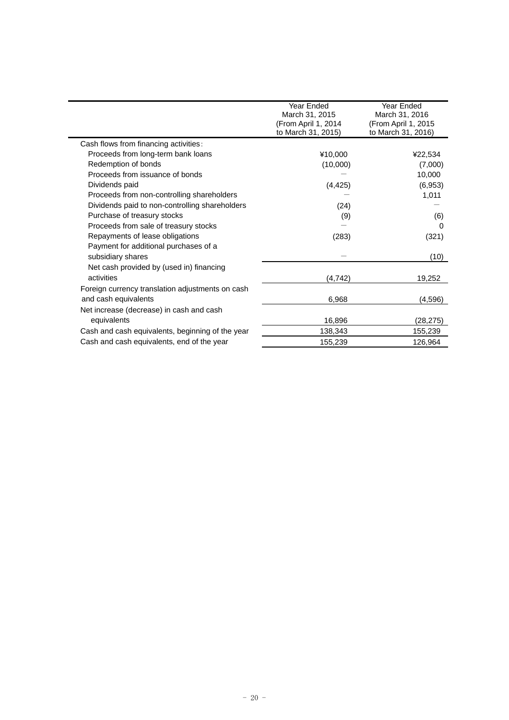|                                                  | Year Ended          | Year Ended          |
|--------------------------------------------------|---------------------|---------------------|
|                                                  | March 31, 2015      | March 31, 2016      |
|                                                  | (From April 1, 2014 | (From April 1, 2015 |
|                                                  | to March 31, 2015)  | to March 31, 2016)  |
| Cash flows from financing activities:            |                     |                     |
| Proceeds from long-term bank loans               | ¥10,000             | ¥22,534             |
| Redemption of bonds                              | (10,000)            | (7,000)             |
| Proceeds from issuance of bonds                  |                     | 10,000              |
| Dividends paid                                   | (4, 425)            | (6,953)             |
| Proceeds from non-controlling shareholders       |                     | 1,011               |
| Dividends paid to non-controlling shareholders   | (24)                |                     |
| Purchase of treasury stocks                      | (9)                 |                     |
| Proceeds from sale of treasury stocks            |                     |                     |
| Repayments of lease obligations                  | (283)               | (321)               |
| Payment for additional purchases of a            |                     |                     |
| subsidiary shares                                |                     | (10)                |
| Net cash provided by (used in) financing         |                     |                     |
| activities                                       | (4, 742)            | 19,252              |
| Foreign currency translation adjustments on cash |                     |                     |
| and cash equivalents                             | 6,968               | (4, 596)            |
| Net increase (decrease) in cash and cash         |                     |                     |
| equivalents                                      | 16,896              | (28, 275)           |
| Cash and cash equivalents, beginning of the year | 138,343             | 155,239             |
| Cash and cash equivalents, end of the year       | 155,239             | 126,964             |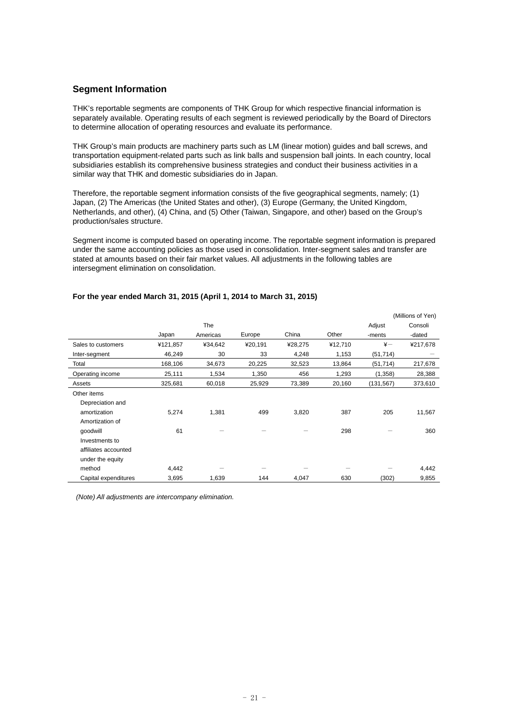# **Segment Information**

THK's reportable segments are components of THK Group for which respective financial information is separately available. Operating results of each segment is reviewed periodically by the Board of Directors to determine allocation of operating resources and evaluate its performance.

THK Group's main products are machinery parts such as LM (linear motion) guides and ball screws, and transportation equipment-related parts such as link balls and suspension ball joints. In each country, local subsidiaries establish its comprehensive business strategies and conduct their business activities in a similar way that THK and domestic subsidiaries do in Japan.

Therefore, the reportable segment information consists of the five geographical segments, namely; (1) Japan, (2) The Americas (the United States and other), (3) Europe (Germany, the United Kingdom, Netherlands, and other), (4) China, and (5) Other (Taiwan, Singapore, and other) based on the Group's production/sales structure.

Segment income is computed based on operating income. The reportable segment information is prepared under the same accounting policies as those used in consolidation. Inter-segment sales and transfer are stated at amounts based on their fair market values. All adjustments in the following tables are intersegment elimination on consolidation.

|                      |          |          |         |         |         |               | (Millions of Yen) |
|----------------------|----------|----------|---------|---------|---------|---------------|-------------------|
|                      |          | The      |         |         |         | Adjust        | Consoli           |
|                      | Japan    | Americas | Europe  | China   | Other   | -ments        | -dated            |
| Sales to customers   | ¥121,857 | ¥34,642  | ¥20,191 | ¥28,275 | ¥12,710 | $\frac{1}{2}$ | ¥217,678          |
| Inter-segment        | 46,249   | 30       | 33      | 4,248   | 1,153   | (51, 714)     |                   |
| Total                | 168,106  | 34,673   | 20,225  | 32,523  | 13,864  | (51, 714)     | 217,678           |
| Operating income     | 25,111   | 1,534    | 1,350   | 456     | 1,293   | (1,358)       | 28,388            |
| Assets               | 325,681  | 60,018   | 25,929  | 73,389  | 20,160  | (131, 567)    | 373,610           |
| Other items          |          |          |         |         |         |               |                   |
| Depreciation and     |          |          |         |         |         |               |                   |
| amortization         | 5,274    | 1,381    | 499     | 3,820   | 387     | 205           | 11,567            |
| Amortization of      |          |          |         |         |         |               |                   |
| qoodwill             | 61       |          |         |         | 298     |               | 360               |
| Investments to       |          |          |         |         |         |               |                   |
| affiliates accounted |          |          |         |         |         |               |                   |
| under the equity     |          |          |         |         |         |               |                   |
| method               | 4,442    |          |         |         |         |               | 4,442             |
| Capital expenditures | 3,695    | 1,639    | 144     | 4,047   | 630     | (302)         | 9,855             |

### **For the year ended March 31, 2015 (April 1, 2014 to March 31, 2015)**

 *(Note) All adjustments are intercompany elimination.*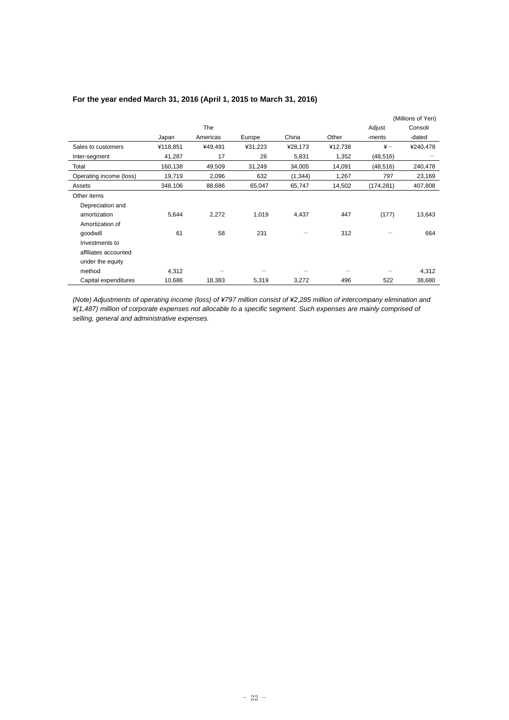|                         |          |            |         |          |         |               | (Millions of Yen) |
|-------------------------|----------|------------|---------|----------|---------|---------------|-------------------|
|                         |          | <b>The</b> |         |          |         | Adjust        | Consoli           |
|                         | Japan    | Americas   | Europe  | China    | Other   | -ments        | -dated            |
| Sales to customers      | ¥118,851 | ¥49,491    | ¥31,223 | ¥28,173  | ¥12,738 | $\frac{1}{2}$ | ¥240,478          |
| Inter-segment           | 41,287   | 17         | 26      | 5,831    | 1,352   | (48, 516)     |                   |
| Total                   | 160,138  | 49,509     | 31,249  | 34,005   | 14,091  | (48, 516)     | 240,478           |
| Operating income (loss) | 19,719   | 2,096      | 632     | (1, 344) | 1,267   | 797           | 23,169            |
| Assets                  | 348,106  | 88,686     | 65,047  | 65,747   | 14,502  | (174, 281)    | 407,808           |
| Other items             |          |            |         |          |         |               |                   |
| Depreciation and        |          |            |         |          |         |               |                   |
| amortization            | 5,644    | 2,272      | 1,019   | 4,437    | 447     | (177)         | 13,643            |
| Amortization of         |          |            |         |          |         |               |                   |
| goodwill                | 61       | 58         | 231     |          | 312     |               | 664               |
| Investments to          |          |            |         |          |         |               |                   |
| affiliates accounted    |          |            |         |          |         |               |                   |
| under the equity        |          |            |         |          |         |               |                   |
| method                  | 4,312    |            |         |          |         |               | 4,312             |
| Capital expenditures    | 10,686   | 18,383     | 5,319   | 3,272    | 496     | 522           | 38,680            |

# **For the year ended March 31, 2016 (April 1, 2015 to March 31, 2016)**

*(Note) Adjustments of operating income (loss) of ¥797 million consist of ¥2,285 million of intercompany elimination and ¥(1,487) million of corporate expenses not allocable to a specific segment. Such expenses are mainly comprised of selling, general and administrative expenses.*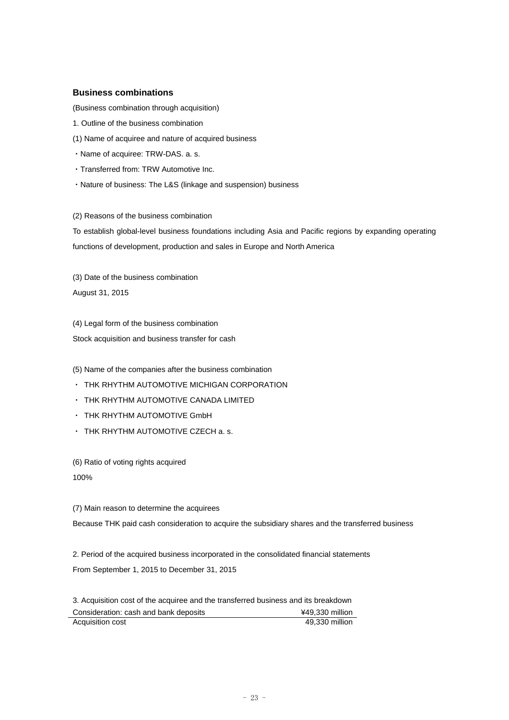# **Business combinations**

(Business combination through acquisition)

- 1. Outline of the business combination
- (1) Name of acquiree and nature of acquired business
- ・Name of acquiree: TRW-DAS. a. s.
- ・Transferred from: TRW Automotive Inc.
- ・Nature of business: The L&S (linkage and suspension) business

(2) Reasons of the business combination

To establish global-level business foundations including Asia and Pacific regions by expanding operating functions of development, production and sales in Europe and North America

(3) Date of the business combination August 31, 2015

(4) Legal form of the business combination Stock acquisition and business transfer for cash

(5) Name of the companies after the business combination

- ・ THK RHYTHM AUTOMOTIVE MICHIGAN CORPORATION
- ・ THK RHYTHM AUTOMOTIVE CANADA LIMITED
- ・ THK RHYTHM AUTOMOTIVE GmbH
- ・ THK RHYTHM AUTOMOTIVE CZECH a. s.

(6) Ratio of voting rights acquired

100%

#### (7) Main reason to determine the acquirees

Because THK paid cash consideration to acquire the subsidiary shares and the transferred business

2. Period of the acquired business incorporated in the consolidated financial statements From September 1, 2015 to December 31, 2015

3. Acquisition cost of the acquiree and the transferred business and its breakdown Consideration: cash and bank deposits **EXECON REGISTER** 49,330 million Acquisition cost 49,330 million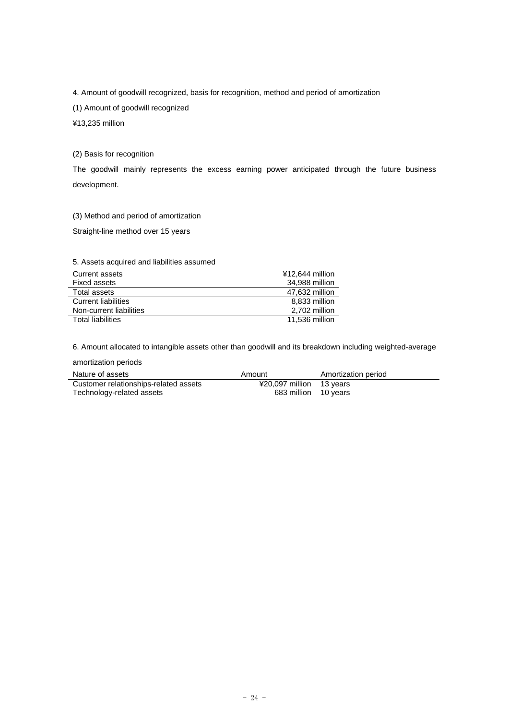4. Amount of goodwill recognized, basis for recognition, method and period of amortization

(1) Amount of goodwill recognized

¥13,235 million

(2) Basis for recognition

The goodwill mainly represents the excess earning power anticipated through the future business development.

(3) Method and period of amortization

Straight-line method over 15 years

5. Assets acquired and liabilities assumed

| Current assets             | ¥12.644 million |
|----------------------------|-----------------|
| Fixed assets               | 34,988 million  |
| Total assets               | 47.632 million  |
| <b>Current liabilities</b> | 8.833 million   |
| Non-current liabilities    | 2.702 million   |
| <b>Total liabilities</b>   | 11,536 million  |

6. Amount allocated to intangible assets other than goodwill and its breakdown including weighted-average

amortization periods

| Nature of assets                      | Amount                   | Amortization period |
|---------------------------------------|--------------------------|---------------------|
| Customer relationships-related assets | ¥20,097 million 13 years |                     |
| Technology-related assets             | 683 million 10 years     |                     |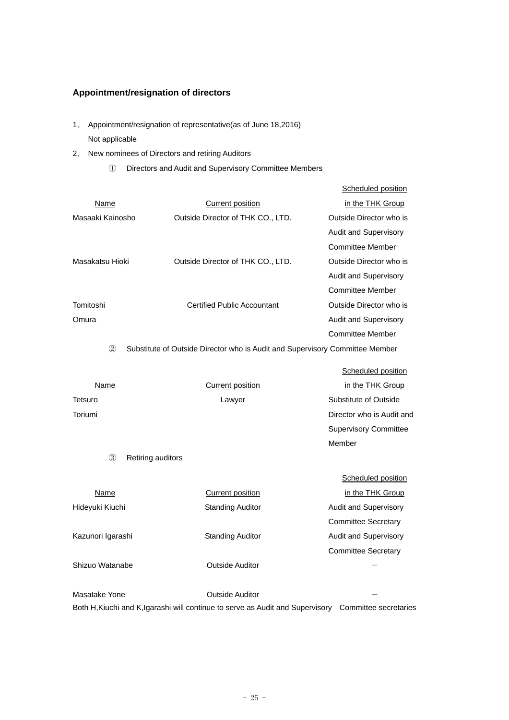# **Appointment/resignation of directors**

- 1、 Appointment/resignation of representative(as of June 18,2016) Not applicable
- 2、 New nominees of Directors and retiring Auditors
	- ① Directors and Audit and Supervisory Committee Members

|                        |                                                                              | Scheduled position           |
|------------------------|------------------------------------------------------------------------------|------------------------------|
| Name                   | <b>Current position</b>                                                      | in the THK Group             |
| Masaaki Kainosho       | Outside Director of THK CO., LTD.                                            | Outside Director who is      |
|                        |                                                                              | Audit and Supervisory        |
|                        |                                                                              | <b>Committee Member</b>      |
| Masakatsu Hioki        | Outside Director of THK CO., LTD.                                            | Outside Director who is      |
|                        |                                                                              | Audit and Supervisory        |
|                        |                                                                              | <b>Committee Member</b>      |
| Tomitoshi              | <b>Certified Public Accountant</b>                                           | Outside Director who is      |
| Omura                  |                                                                              | Audit and Supervisory        |
|                        |                                                                              | <b>Committee Member</b>      |
| (2)                    | Substitute of Outside Director who is Audit and Supervisory Committee Member |                              |
|                        |                                                                              |                              |
|                        |                                                                              | Scheduled position           |
| Name                   | <b>Current position</b>                                                      | in the THK Group             |
| Tetsuro                | Lawyer                                                                       | Substitute of Outside        |
| Toriumi                |                                                                              | Director who is Audit and    |
|                        |                                                                              | <b>Supervisory Committee</b> |
|                        |                                                                              | Member                       |
| 3<br>Retiring auditors |                                                                              |                              |
|                        |                                                                              | Scheduled position           |
| <b>Name</b>            | <b>Current position</b>                                                      | in the THK Group             |
| Hideyuki Kiuchi        | <b>Standing Auditor</b>                                                      | <b>Audit and Supervisory</b> |
|                        |                                                                              | <b>Committee Secretary</b>   |
| Kazunori Igarashi      | <b>Standing Auditor</b>                                                      | Audit and Supervisory        |
|                        |                                                                              | <b>Committee Secretary</b>   |
|                        |                                                                              |                              |
| Shizuo Watanabe        | <b>Outside Auditor</b>                                                       |                              |
|                        |                                                                              |                              |
| Masatake Yone          | <b>Outside Auditor</b>                                                       |                              |

Both H,Kiuchi and K,Igarashi will continue to serve as Audit and Supervisory Committee secretaries